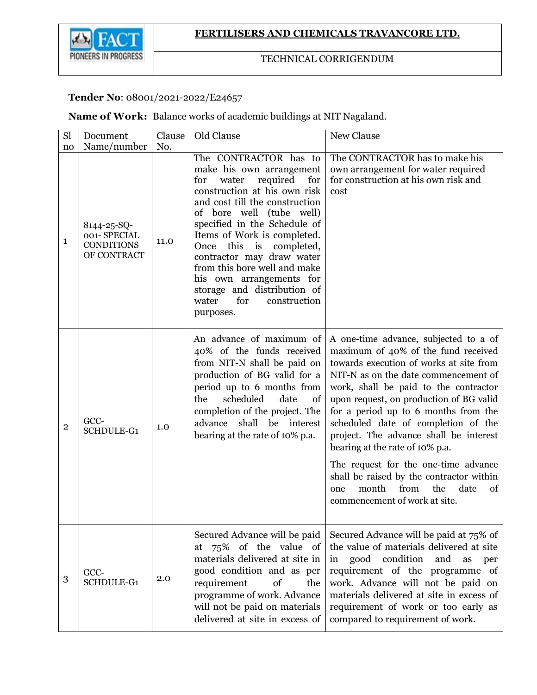

## TECHNICAL CORRIGENDUM

## **Tender No**: 08001/2021-2022/E24657

**Name of Work:** Balance works of academic buildings at NIT Nagaland.

| Sl             | Document                                                       | Clause | Old Clause                                                                                                                                                                                                                                                                                                                                                                                                                                                 | New Clause                                                                                                                                                                                                                                                                                                                                                                                                                                                                                                                                                                        |
|----------------|----------------------------------------------------------------|--------|------------------------------------------------------------------------------------------------------------------------------------------------------------------------------------------------------------------------------------------------------------------------------------------------------------------------------------------------------------------------------------------------------------------------------------------------------------|-----------------------------------------------------------------------------------------------------------------------------------------------------------------------------------------------------------------------------------------------------------------------------------------------------------------------------------------------------------------------------------------------------------------------------------------------------------------------------------------------------------------------------------------------------------------------------------|
| no             | Name/number                                                    | No.    |                                                                                                                                                                                                                                                                                                                                                                                                                                                            |                                                                                                                                                                                                                                                                                                                                                                                                                                                                                                                                                                                   |
| $\mathbf{1}$   | 8144-25-SQ-<br>001-SPECIAL<br><b>CONDITIONS</b><br>OF CONTRACT | 11.0   | The CONTRACTOR has to<br>make his own arrangement<br>required<br>water<br>for<br>for<br>construction at his own risk<br>and cost till the construction<br>of bore well (tube well)<br>specified in the Schedule of<br>Items of Work is completed.<br>is<br>this<br>completed,<br>Once<br>contractor may draw water<br>from this bore well and make<br>his own arrangements for<br>storage and distribution of<br>for<br>construction<br>water<br>purposes. | The CONTRACTOR has to make his<br>own arrangement for water required<br>for construction at his own risk and<br>cost                                                                                                                                                                                                                                                                                                                                                                                                                                                              |
| $\overline{2}$ | GCC-<br><b>SCHDULE-G1</b>                                      | 1.0    | An advance of maximum of<br>40% of the funds received<br>from NIT-N shall be paid on<br>production of BG valid for a<br>period up to 6 months from<br>the<br>scheduled<br>date<br>of<br>completion of the project. The<br>shall be interest<br>advance<br>bearing at the rate of 10% p.a.                                                                                                                                                                  | A one-time advance, subjected to a of<br>maximum of 40% of the fund received<br>towards execution of works at site from<br>NIT-N as on the date commencement of<br>work, shall be paid to the contractor<br>upon request, on production of BG valid<br>for a period up to 6 months from the<br>scheduled date of completion of the<br>project. The advance shall be interest<br>bearing at the rate of 10% p.a.<br>The request for the one-time advance<br>shall be raised by the contractor within<br>the<br>month<br>from<br>date<br>οf<br>one<br>commencement of work at site. |
| 3              | GCC-<br>SCHDULE-G1                                             | 2.0    | Secured Advance will be paid<br>75% of the value of<br>at<br>materials delivered at site in<br>good condition and as per<br>requirement<br>of<br>the<br>programme of work. Advance<br>will not be paid on materials<br>delivered at site in excess of                                                                                                                                                                                                      | Secured Advance will be paid at 75% of<br>the value of materials delivered at site<br>good condition<br>and<br>as<br>in<br>per<br>requirement of the programme of<br>work. Advance will not be paid on<br>materials delivered at site in excess of<br>requirement of work or too early as<br>compared to requirement of work.                                                                                                                                                                                                                                                     |